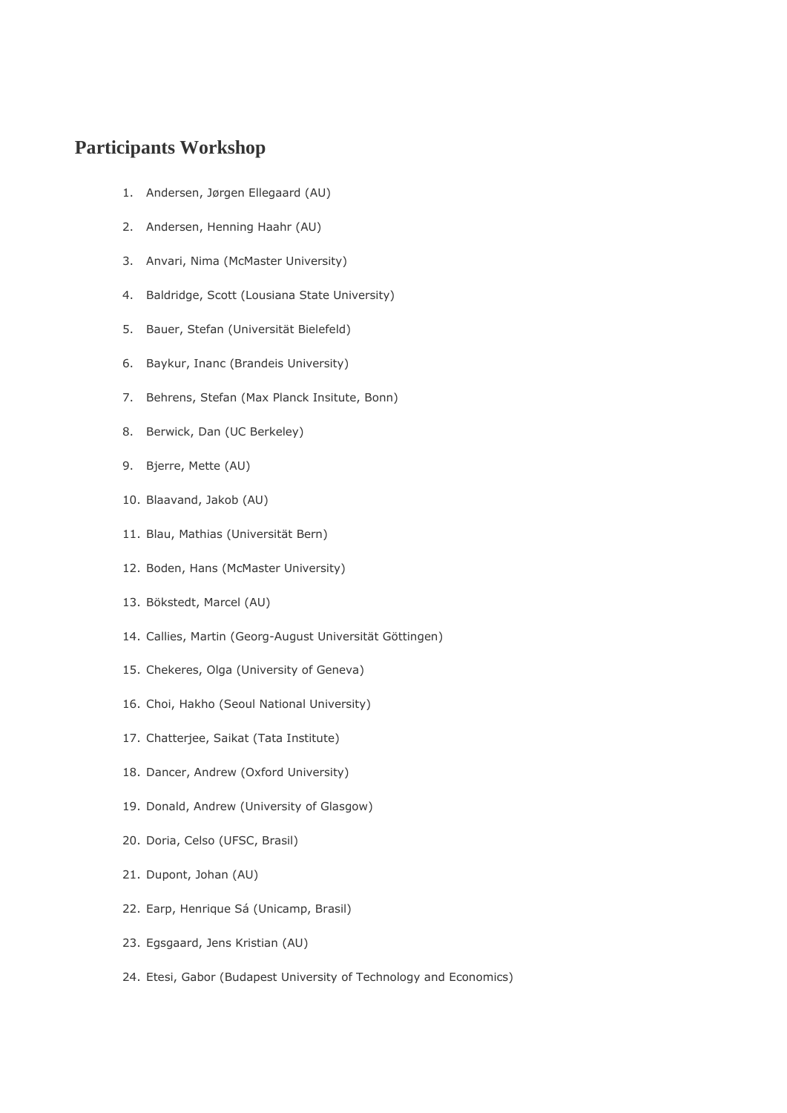## **Participants Workshop**

- 1. Andersen, Jørgen Ellegaard (AU)
- 2. Andersen, Henning Haahr (AU)
- 3. Anvari, Nima (McMaster University)
- 4. Baldridge, Scott (Lousiana State University)
- 5. Bauer, Stefan (Universität Bielefeld)
- 6. Baykur, Inanc (Brandeis University)
- 7. Behrens, Stefan (Max Planck Insitute, Bonn)
- 8. Berwick, Dan (UC Berkeley)
- 9. Bjerre, Mette (AU)
- 10. Blaavand, Jakob (AU)
- 11. Blau, Mathias (Universität Bern)
- 12. Boden, Hans (McMaster University)
- 13. Bökstedt, Marcel (AU)
- 14. Callies, Martin (Georg-August Universität Göttingen)
- 15. Chekeres, Olga (University of Geneva)
- 16. Choi, Hakho (Seoul National University)
- 17. Chatterjee, Saikat (Tata Institute)
- 18. Dancer, Andrew (Oxford University)
- 19. Donald, Andrew (University of Glasgow)
- 20. Doria, Celso (UFSC, Brasil)
- 21. Dupont, Johan (AU)
- 22. Earp, Henrique Sá (Unicamp, Brasil)
- 23. Egsgaard, Jens Kristian (AU)
- 24. Etesi, Gabor (Budapest University of Technology and Economics)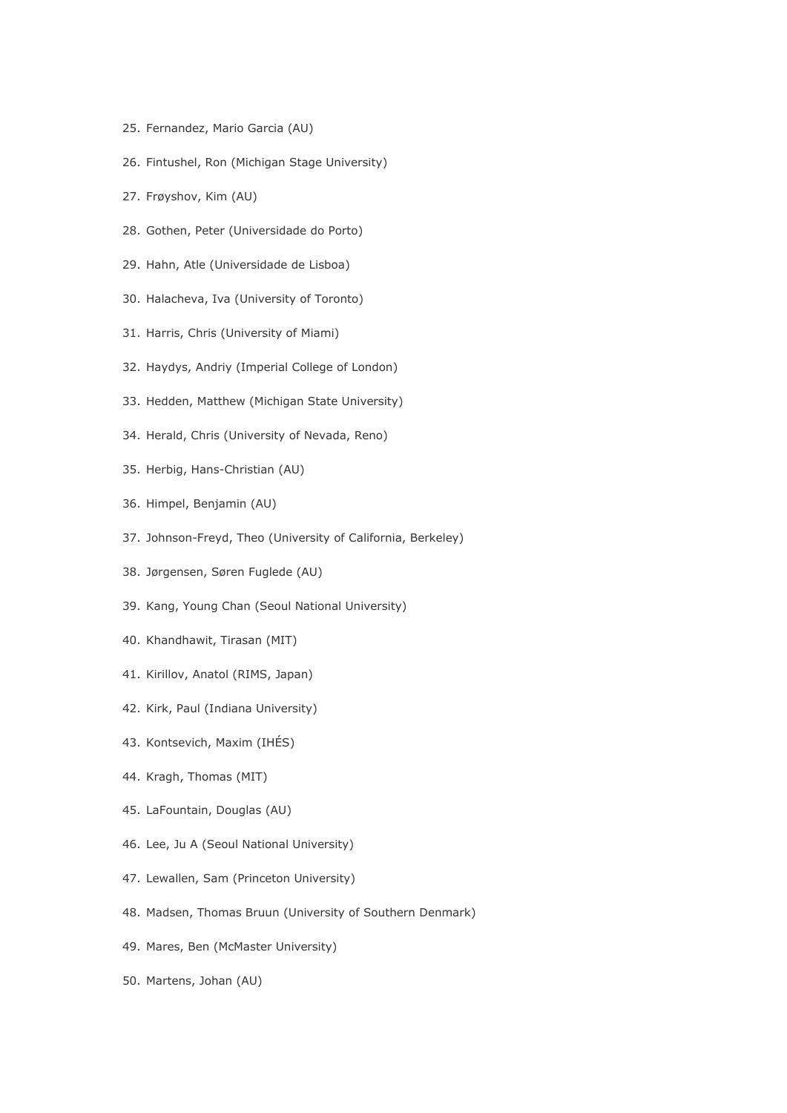- 25. Fernandez, Mario Garcia (AU)
- 26. Fintushel, Ron (Michigan Stage University)
- 27. Frøyshov, Kim (AU)
- 28. Gothen, Peter (Universidade do Porto)
- 29. Hahn, Atle (Universidade de Lisboa)
- 30. Halacheva, Iva (University of Toronto)
- 31. Harris, Chris (University of Miami)
- 32. Haydys, Andriy (Imperial College of London)
- 33. Hedden, Matthew (Michigan State University)
- 34. Herald, Chris (University of Nevada, Reno)
- 35. Herbig, Hans-Christian (AU)
- 36. Himpel, Benjamin (AU)
- 37. Johnson-Freyd, Theo (University of California, Berkeley)
- 38. Jørgensen, Søren Fuglede (AU)
- 39. Kang, Young Chan (Seoul National University)
- 40. Khandhawit, Tirasan (MIT)
- 41. Kirillov, Anatol (RIMS, Japan)
- 42. Kirk, Paul (Indiana University)
- 43. Kontsevich, Maxim (IHÉS)
- 44. Kragh, Thomas (MIT)
- 45. LaFountain, Douglas (AU)
- 46. Lee, Ju A (Seoul National University)
- 47. Lewallen, Sam (Princeton University)
- 48. Madsen, Thomas Bruun (University of Southern Denmark)
- 49. Mares, Ben (McMaster University)
- 50. Martens, Johan (AU)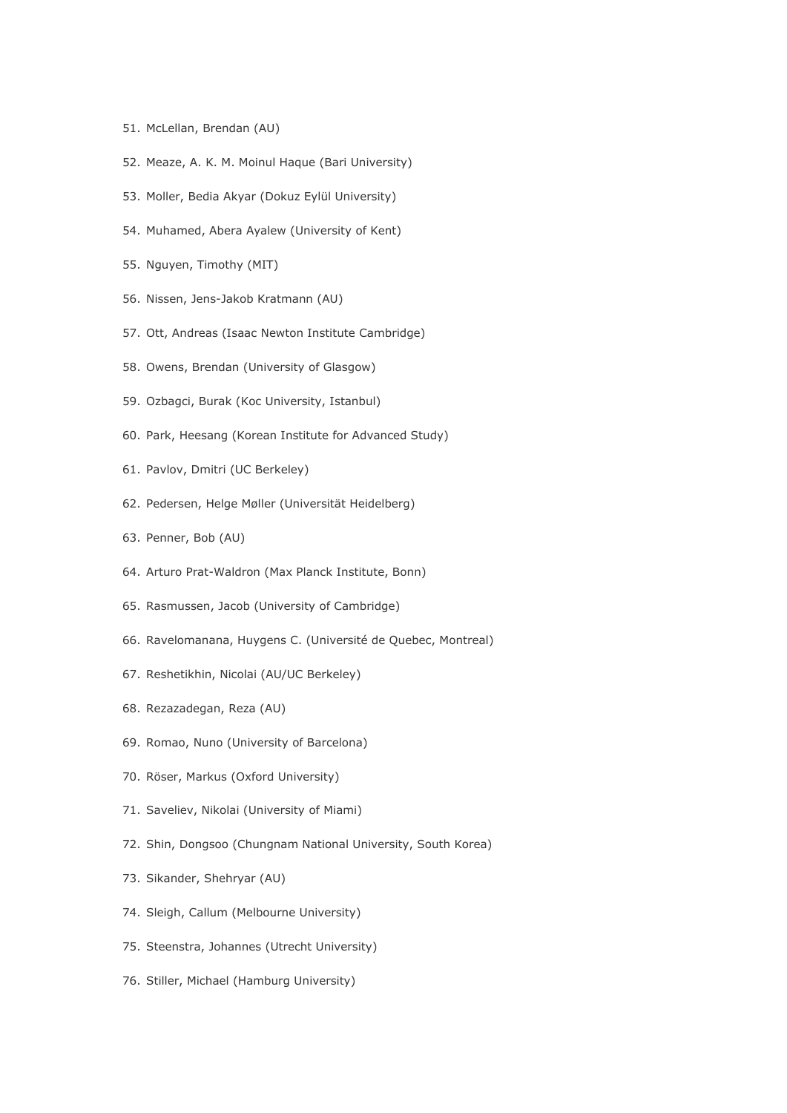- 51. McLellan, Brendan (AU)
- 52. Meaze, A. K. M. Moinul Haque (Bari University)
- 53. Moller, Bedia Akyar (Dokuz Eylül University)
- 54. Muhamed, Abera Ayalew (University of Kent)
- 55. Nguyen, Timothy (MIT)
- 56. Nissen, Jens-Jakob Kratmann (AU)
- 57. Ott, Andreas (Isaac Newton Institute Cambridge)
- 58. Owens, Brendan (University of Glasgow)
- 59. Ozbagci, Burak (Koc University, Istanbul)
- 60. Park, Heesang (Korean Institute for Advanced Study)
- 61. Pavlov, Dmitri (UC Berkeley)
- 62. Pedersen, Helge Møller (Universität Heidelberg)
- 63. Penner, Bob (AU)
- 64. Arturo Prat-Waldron (Max Planck Institute, Bonn)
- 65. Rasmussen, Jacob (University of Cambridge)
- 66. Ravelomanana, Huygens C. (Université de Quebec, Montreal)
- 67. Reshetikhin, Nicolai (AU/UC Berkeley)
- 68. Rezazadegan, Reza (AU)
- 69. Romao, Nuno (University of Barcelona)
- 70. Röser, Markus (Oxford University)
- 71. Saveliev, Nikolai (University of Miami)
- 72. Shin, Dongsoo (Chungnam National University, South Korea)
- 73. Sikander, Shehryar (AU)
- 74. Sleigh, Callum (Melbourne University)
- 75. Steenstra, Johannes (Utrecht University)
- 76. Stiller, Michael (Hamburg University)